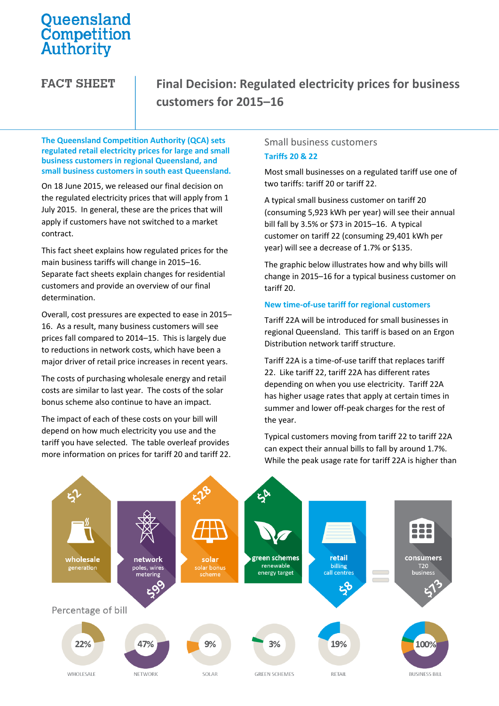# Queensland<br>Competition Authority

**FACT SHEET** 

## **Final Decision: Regulated electricity prices for business customers for 2015–16**

**The Queensland Competition Authority (QCA) sets regulated retail electricity prices for large and small business customers in regional Queensland, and small business customers in south east Queensland.** 

On 18 June 2015, we released our final decision on the regulated electricity prices that will apply from 1 July 2015. In general, these are the prices that will apply if customers have not switched to a market contract.

This fact sheet explains how regulated prices for the main business tariffs will change in 2015–16. Separate fact sheets explain changes for residential customers and provide an overview of our final determination.

Overall, cost pressures are expected to ease in 2015– 16. As a result, many business customers will see prices fall compared to 2014–15. This is largely due to reductions in network costs, which have been a major driver of retail price increases in recent years.

The costs of purchasing wholesale energy and retail costs are similar to last year. The costs of the solar bonus scheme also continue to have an impact.

The impact of each of these costs on your bill will depend on how much electricity you use and the tariff you have selected. The table overleaf provides more information on prices for tariff 20 and tariff 22.

#### Small business customers **Tariffs 20 & 22**

Most small businesses on a regulated tariff use one of two tariffs: tariff 20 or tariff 22.

A typical small business customer on tariff 20 (consuming 5,923 kWh per year) will see their annual bill fall by 3.5% or \$73 in 2015–16. A typical customer on tariff 22 (consuming 29,401 kWh per year) will see a decrease of 1.7% or \$135.

The graphic below illustrates how and why bills will change in 2015–16 for a typical business customer on tariff 20.

#### **New time-of-use tariff for regional customers**

Tariff 22A will be introduced for small businesses in regional Queensland. This tariff is based on an Ergon Distribution network tariff structure.

Tariff 22A is a time-of-use tariff that replaces tariff 22. Like tariff 22, tariff 22A has different rates depending on when you use electricity. Tariff 22A has higher usage rates that apply at certain times in summer and lower off-peak charges for the rest of the year.

Typical customers moving from tariff 22 to tariff 22A can expect their annual bills to fall by around 1.7%. While the peak usage rate for tariff 22A is higher than